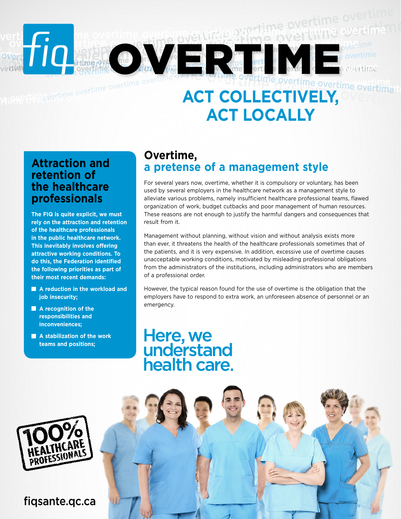#### overtime overtime overtime overtime overtime overtime overtime overtime overtime overtime overtime overtime overtime overtime overtime overtime overtime overtime overtime overtime overtime overtime overtime overtime overti overtime overtime overtime overtime overtime overtime overtime overtime overtime overtime overtime  $\overline{\text{ACT COLLECTIVELY}}$  overtime overtime overtime overtime overtime overtime overtime overtime overtime overtime overtime overtime overtime overtime overtime overtime overtime overtime overtime overtime overtime overtime overtime overtime overtime overtime overtime overtime overtime overtime overtime overti overtime overtime overtime overtime overtime overtime overtime overtime overtime overtime overtime overtime overtime overtime overtime overtime overtime overtime overtime overtime overtime overtime overtime overtime overti overtime overtime overtime overtime overtime overtime overtime overtime overtime overtime overtime overtime overtime overtime overtime overtime overtime overtime overtime overtime overtime overtime overtime overtime overti overtime overtime overtime overtime overtime overtime overtime overtime overtime overtime overtime<br>Propertime overtime overtime overtime overtime overtime overtime overtime overtime overtime verti come overtime overtime evertime overtime overtime **Act collectively,**

# **act locally**

#### **Attraction and retention of the healthcare professionals**

**The FIQ is quite explicit, we must rely on the attraction and retention of the healthcare professionals in the public healthcare network. This inevitably involves offering attractive working conditions. To do this, the Federation identified the following priorities as part of their most recent demands:**

- **A reduction in the workload and job insecurity;**
- **A** recognition of the **responsibilities and inconveniences;**
- **A stabilization of the work teams and positions;**

#### **Overtime, a pretense of a management style**

For several years now, overtime, whether it is compulsory or voluntary, has been used by several employers in the healthcare network as a management style to alleviate various problems, namely insufficient healthcare professional teams, flawed organization of work, budget cutbacks and poor management of human resources. These reasons are not enough to justify the harmful dangers and consequences that result from it.

Management without planning, without vision and without analysis exists more than ever, it threatens the health of the healthcare professionals sometimes that of the patients, and it is very expensive. In addition, excessive use of overtime causes unacceptable working conditions, motivated by misleading professional obligations from the administrators of the institutions, including administrators who are members of a professional order.

However, the typical reason found for the use of overtime is the obligation that the employers have to respond to extra work, an unforeseen absence of personnel or an emergency.

## Here, we<br>understand health care



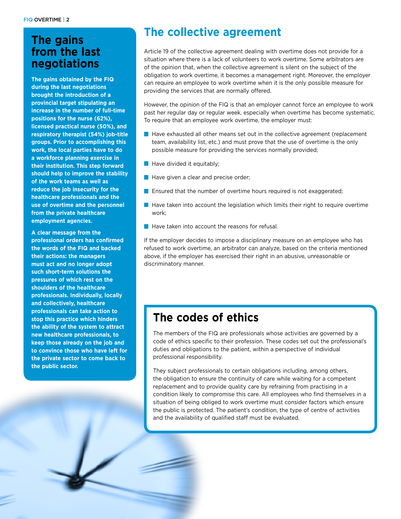### **from the last negotiations**

**The gains obtained by the FIQ during the last negotiations brought the introduction of a provincial target stipulating an increase in the number of full-time positions for the nurse (62%), licensed practical nurse (50%), and respiratory therapist (54%) job-title groups. Prior to accomplishing this work, the local parties have to do a workforce planning exercise in their institution. This step forward should help to improve the stability of the work teams as well as reduce the job insecurity for the healthcare professionals and the use of overtime and the personnel from the private healthcare employment agencies.**

**A clear message from the professional orders has confirmed the words of the FIQ and backed their actions: the managers must act and no longer adopt such short-term solutions the pressures of which rest on the shoulders of the healthcare professionals. Individually, locally and collectively, healthcare professionals can take action to stop this practice which hinders the ability of the system to attract new healthcare professionals, to keep those already on the job and to convince those who have left for the private sector to come back to the public sector.**

## **The collective agreement The gains**

Article 19 of the collective agreement dealing with overtime does not provide for a situation where there is a lack of volunteers to work overtime. Some arbitrators are of the opinion that, when the collective agreement is silent on the subject of the obligation to work overtime, it becomes a management right. Moreover, the employer can require an employee to work overtime when it is the only possible measure for providing the services that are normally offered.

However, the opinion of the FIQ is that an employer cannot force an employee to work past her regular day or regular week, especially when overtime has become systematic. To require that an employee work overtime, the employer must:

- $\blacksquare$  Have exhausted all other means set out in the collective agreement (replacement team, availability list, etc.) and must prove that the use of overtime is the only possible measure for providing the services normally provided;
- $\blacksquare$  Have divided it equitably;
- Have given a clear and precise order;
- **E** Ensured that the number of overtime hours required is not exaggerated;
- $\blacksquare$  Have taken into account the legislation which limits their right to require overtime work;
- $\blacksquare$  Have taken into account the reasons for refusal.

If the employer decides to impose a disciplinary measure on an employee who has refused to work overtime, an arbitrator can analyze, based on the criteria mentioned above, if the employer has exercised their right in an abusive, unreasonable or discriminatory manner.

#### **The codes of ethics**

The members of the FIQ are professionals whose activities are governed by a code of ethics specific to their profession. These codes set out the professional's duties and obligations to the patient, within a perspective of individual professional responsibility.

They subject professionals to certain obligations including, among others, the obligation to ensure the continuity of care while waiting for a competent replacement and to provide quality care by refraining from practising in a condition likely to compromise this care. All employees who find themselves in a situation of being obliged to work overtime must consider factors which ensure the public is protected. The patient's condition, the type of centre of activities and the availability of qualified staff must be evaluated.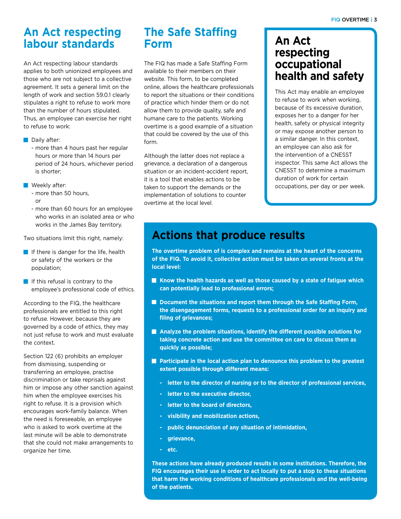#### **An Act respecting labour standards**

An Act respecting labour standards applies to both unionized employees and those who are not subject to a collective agreement. It sets a general limit on the length of work and section 59.0.1 clearly stipulates a right to refuse to work more than the number of hours stipulated. Thus, an employee can exercise her right to refuse to work:

- Daily after:
	- more than 4 hours past her regular hours or more than 14 hours per period of 24 hours, whichever period is shorter;
- **Weekly after:** 
	- more than 50 hours, or
	- more than 60 hours for an employee who works in an isolated area or who works in the James Bay territory.

Two situations limit this right, namely:

- If there is danger for the life, health or safety of the workers or the population;
- $\blacksquare$  If this refusal is contrary to the employee's professional code of ethics.

According to the FIQ, the healthcare professionals are entitled to this right to refuse. However, because they are governed by a code of ethics, they may not just refuse to work and must evaluate the context.

Section 122 (6) prohibits an employer from dismissing, suspending or transferring an employee, practise discrimination or take reprisals against him or impose any other sanction against him when the employee exercises his right to refuse. It is a provision which encourages work-family balance. When the need is foreseeable, an employee who is asked to work overtime at the last minute will be able to demonstrate that she could not make arrangements to organize her time.

#### **The Safe Staffing Form**

The FIQ has made a Safe Staffing Form available to their members on their website. This form, to be completed online, allows the healthcare professionals to report the situations or their conditions of practice which hinder them or do not allow them to provide quality, safe and humane care to the patients. Working overtime is a good example of a situation that could be covered by the use of this form.

Although the latter does not replace a grievance, a declaration of a dangerous situation or an incident-accident report, it is a tool that enables actions to be taken to support the demands or the implementation of solutions to counter overtime at the local level.

#### **An Act respecting occupational health and safety**

This Act may enable an employee to refuse to work when working, because of its excessive duration, exposes her to a danger for her health, safety or physical integrity or may expose another person to a similar danger. In this context, an employee can also ask for the intervention of a CNESST inspector. This same Act allows the CNESST to determine a maximum duration of work for certain occupations, per day or per week.

#### **Actions that produce results**

**The overtime problem of is complex and remains at the heart of the concerns of the FIQ. To avoid it, collective action must be taken on several fronts at the local level:**

- **K** Know the health hazards as well as those caused by a state of fatigue which **can potentially lead to professional errors;**
- Document the situations and report them through the Safe Staffing Form, **the disengagement forms, requests to a professional order for an inquiry and filing of grievances;**
- **Analyze the problem situations, identify the different possible solutions for taking concrete action and use the committee on care to discuss them as quickly as possible;**
- **Participate in the local action plan to denounce this problem to the greatest extent possible through different means:**
	- **- letter to the director of nursing or to the director of professional services,**
	- **- letter to the executive director,**
	- **- letter to the board of directors,**
	- **- visibility and mobilization actions,**
	- **- public denunciation of any situation of intimidation,**
	- **- grievance,**
	- **- etc.**

**These actions have already produced results in some institutions. Therefore, the FIQ encourages their use in order to act locally to put a stop to these situations that harm the working conditions of healthcare professionals and the well-being of the patients.**